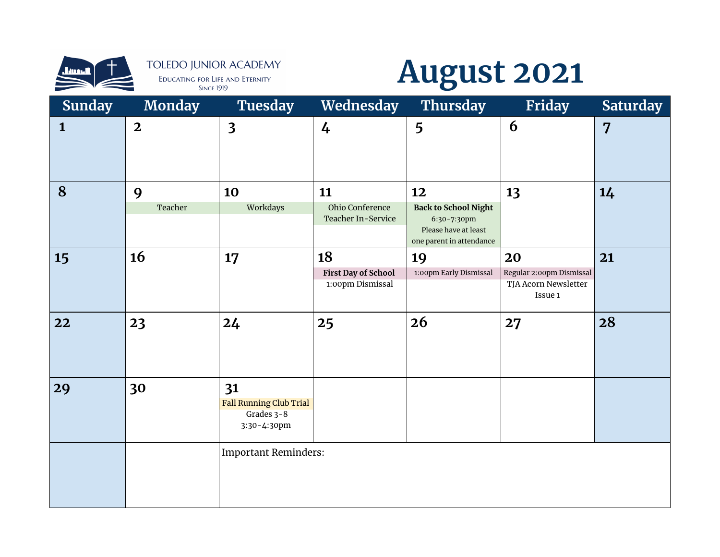

EDUCATING FOR LIFE AND ETERNITY **SINCE 1919** 

**August 2021**

**Sunday Monday Tuesday Wednesday Thursday Friday Saturday 1 2 3 4 5 6 7 8 9 10 11 12 13 14** Teacher **Workdays Ohio Conference Back to School Night** Teacher In-Service | 6:30-7:30pm Please have at least one parent in attendance **15 16 17 18 19 20 21 First Day of School** 1:00pm Early Dismissal Regular 2:00pm Dismissal 1:00pm Dismissal TJA Acorn Newsletter Issue 1 **22 23 24 25 26 27 28 29 30 31** Fall Running Club Trial Grades 3-8 3:30-4:30pm Important Reminders: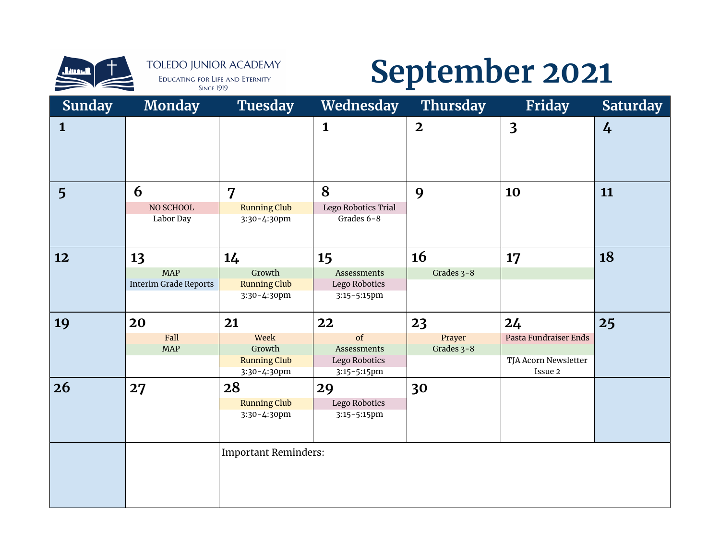

TOLEDO JUNIOR ACADEMY Educating for Life and Eternity<br>Since 1919

**September 2021**

| <b>Sunday</b> | <b>Monday</b>                | Tuesday                     | Wednesday           | Thursday       | Friday                  | <b>Saturday</b> |
|---------------|------------------------------|-----------------------------|---------------------|----------------|-------------------------|-----------------|
| $\mathbf{1}$  |                              |                             | $\mathbf{1}$        | $\overline{2}$ | $\overline{\mathbf{3}}$ | $\frac{1}{4}$   |
| 5             | 6                            | $\overline{7}$              | 8                   | 9              | 10                      | 11              |
|               | NO SCHOOL                    | <b>Running Club</b>         | Lego Robotics Trial |                |                         |                 |
|               | Labor Day                    | 3:30-4:30pm                 | Grades 6-8          |                |                         |                 |
| 12            | 13                           | 14                          | 15                  | 16             | 17                      | 18              |
|               | <b>MAP</b>                   | Growth                      | Assessments         | Grades 3-8     |                         |                 |
|               | <b>Interim Grade Reports</b> | <b>Running Club</b>         | Lego Robotics       |                |                         |                 |
|               |                              | 3:30-4:30pm                 | 3:15-5:15pm         |                |                         |                 |
| 19            | 20                           | 21                          | 22                  | 23             | 24                      | 25              |
|               | Fall                         | Week                        | of                  | Prayer         | Pasta Fundraiser Ends   |                 |
|               | <b>MAP</b>                   | Growth                      | Assessments         | Grades 3-8     |                         |                 |
|               |                              | <b>Running Club</b>         | Lego Robotics       |                | TJA Acorn Newsletter    |                 |
|               |                              | 3:30-4:30pm                 | 3:15-5:15pm         |                | Issue 2                 |                 |
| 26            | 27                           | 28                          | 29                  | 30             |                         |                 |
|               |                              | <b>Running Club</b>         | Lego Robotics       |                |                         |                 |
|               |                              | 3:30-4:30pm                 | 3:15-5:15pm         |                |                         |                 |
|               |                              |                             |                     |                |                         |                 |
|               |                              | <b>Important Reminders:</b> |                     |                |                         |                 |
|               |                              |                             |                     |                |                         |                 |
|               |                              |                             |                     |                |                         |                 |
|               |                              |                             |                     |                |                         |                 |
|               |                              |                             |                     |                |                         |                 |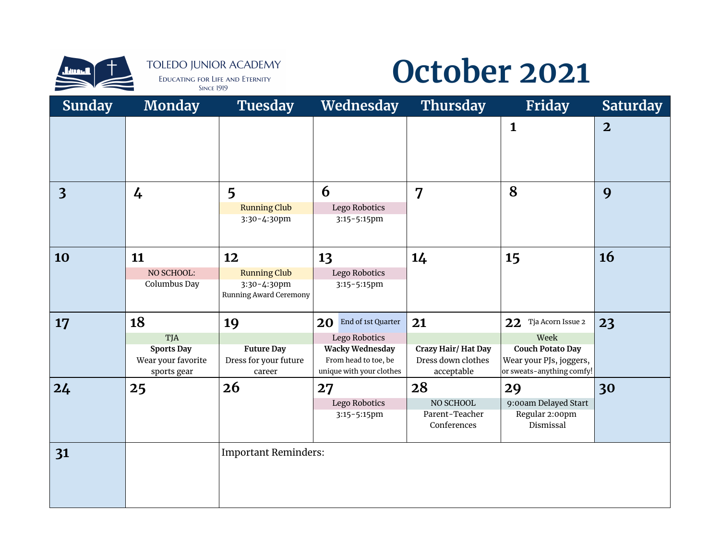

EDUCATING FOR LIFE AND ETERNITY **SINCE 1919** 

## **October 2021**

| <b>Sunday</b>           | <b>Monday</b>                                                              | <b>Tuesday</b>                                                     | Wednesday                                                                                                        | Thursday                                                     | Friday                                                                                                             | <b>Saturday</b> |
|-------------------------|----------------------------------------------------------------------------|--------------------------------------------------------------------|------------------------------------------------------------------------------------------------------------------|--------------------------------------------------------------|--------------------------------------------------------------------------------------------------------------------|-----------------|
|                         |                                                                            |                                                                    |                                                                                                                  |                                                              | $\mathbf{1}$                                                                                                       | $\overline{2}$  |
| $\overline{\mathbf{3}}$ | 4                                                                          | 5<br><b>Running Club</b><br>3:30-4:30pm                            | 6<br>Lego Robotics<br>3:15-5:15pm                                                                                | $\overline{7}$                                               | 8                                                                                                                  | 9               |
| 10                      | 11<br>NO SCHOOL:<br>Columbus Day                                           | 12<br><b>Running Club</b><br>3:30-4:30pm<br>Running Award Ceremony | 13<br>Lego Robotics<br>3:15-5:15pm                                                                               | 14                                                           | 15                                                                                                                 | <b>16</b>       |
| 17                      | 18<br><b>TJA</b><br><b>Sports Day</b><br>Wear your favorite<br>sports gear | 19<br><b>Future Day</b><br>Dress for your future<br>career         | End of 1st Quarter<br>20<br>Lego Robotics<br>Wacky Wednesday<br>From head to toe, be<br>unique with your clothes | 21<br>Crazy Hair/Hat Day<br>Dress down clothes<br>acceptable | Tja Acorn Issue 2<br>22<br>Week<br><b>Couch Potato Day</b><br>Wear your PJs, joggers,<br>or sweats-anything comfy! | 23              |
| 24                      | 25                                                                         | 26                                                                 | 27<br>Lego Robotics<br>3:15-5:15pm                                                                               | 28<br>NO SCHOOL<br>Parent-Teacher<br>Conferences             | 29<br>9:00am Delayed Start<br>Regular 2:00pm<br>Dismissal                                                          | 30              |
| 31                      |                                                                            | <b>Important Reminders:</b>                                        |                                                                                                                  |                                                              |                                                                                                                    |                 |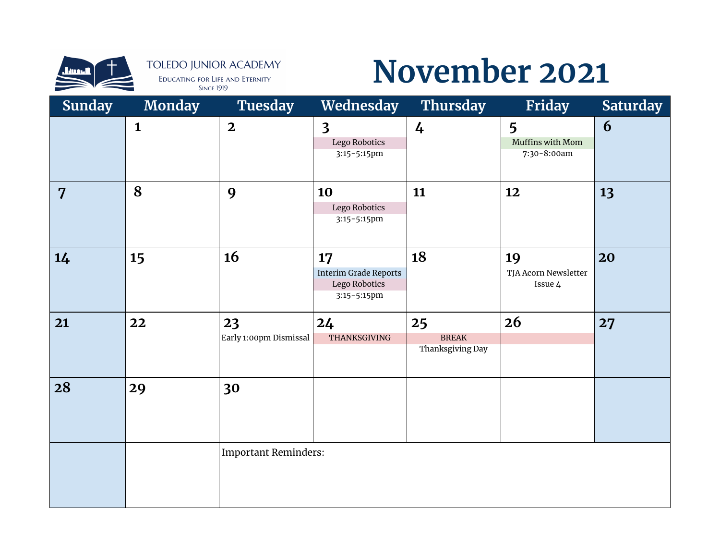

**November 2021**

TOLEDO JUNIOR ACADEMY EDUCATING FOR LIFE AND ETERNITY **SINCE 1919** 

| <b>Sunday</b>  | <b>Monday</b> | <b>Tuesday</b>               | Wednesday                                                          | Thursday                               | Friday                                | <b>Saturday</b> |
|----------------|---------------|------------------------------|--------------------------------------------------------------------|----------------------------------------|---------------------------------------|-----------------|
|                | $\mathbf{1}$  | $\overline{2}$               | $\overline{\mathbf{3}}$<br>Lego Robotics<br>3:15-5:15pm            | $\frac{1}{4}$                          | 5<br>Muffins with Mom<br>7:30-8:00am  | 6               |
| $\overline{7}$ | 8             | 9                            | 10<br>Lego Robotics<br>3:15-5:15pm                                 | 11                                     | 12                                    | 13              |
| 14             | 15            | <b>16</b>                    | 17<br><b>Interim Grade Reports</b><br>Lego Robotics<br>3:15-5:15pm | 18                                     | 19<br>TJA Acorn Newsletter<br>Issue 4 | 20              |
| 21             | 22            | 23<br>Early 1:00pm Dismissal | 24<br><b>THANKSGIVING</b>                                          | 25<br><b>BREAK</b><br>Thanksgiving Day | 26                                    | 27              |
| 28             | 29            | 30                           |                                                                    |                                        |                                       |                 |
|                |               | <b>Important Reminders:</b>  |                                                                    |                                        |                                       |                 |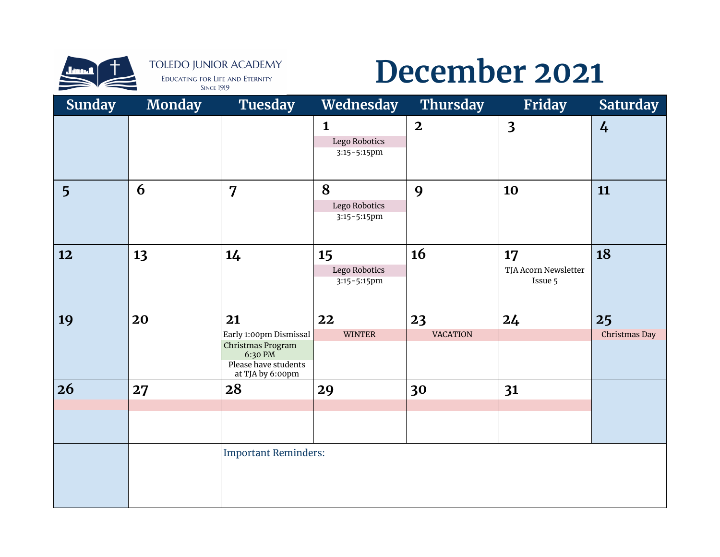

TOLEDO JUNIOR ACADEMY EDUCATING FOR LIFE AND ETERNITY

**SINCE 1919** 

### **December 2021**

| <b>Sunday</b> | $\lfloor$ Monday $\rfloor$ | Tuesday                                                                                                  | Wednesday                                    | Thursday              | Friday                                | <b>Saturday</b>     |
|---------------|----------------------------|----------------------------------------------------------------------------------------------------------|----------------------------------------------|-----------------------|---------------------------------------|---------------------|
|               |                            |                                                                                                          | $\mathbf{1}$<br>Lego Robotics<br>3:15-5:15pm | $\overline{2}$        | $\overline{\mathbf{3}}$               | $\frac{1}{4}$       |
| 5             | 6                          | $\overline{7}$                                                                                           | 8<br>Lego Robotics<br>3:15-5:15pm            | 9                     | 10                                    | 11                  |
| 12            | 13                         | 14                                                                                                       | 15<br>Lego Robotics<br>3:15-5:15pm           | 16                    | 17<br>TJA Acorn Newsletter<br>Issue 5 | 18                  |
| 19            | 20                         | 21<br>Early 1:00pm Dismissal<br>Christmas Program<br>6:30 PM<br>Please have students<br>at TJA by 6:00pm | 22<br><b>WINTER</b>                          | 23<br><b>VACATION</b> | 24                                    | 25<br>Christmas Day |
| 26            | 27                         | 28                                                                                                       | 29                                           | 30                    | 31                                    |                     |
|               |                            |                                                                                                          |                                              |                       |                                       |                     |
|               |                            | <b>Important Reminders:</b>                                                                              |                                              |                       |                                       |                     |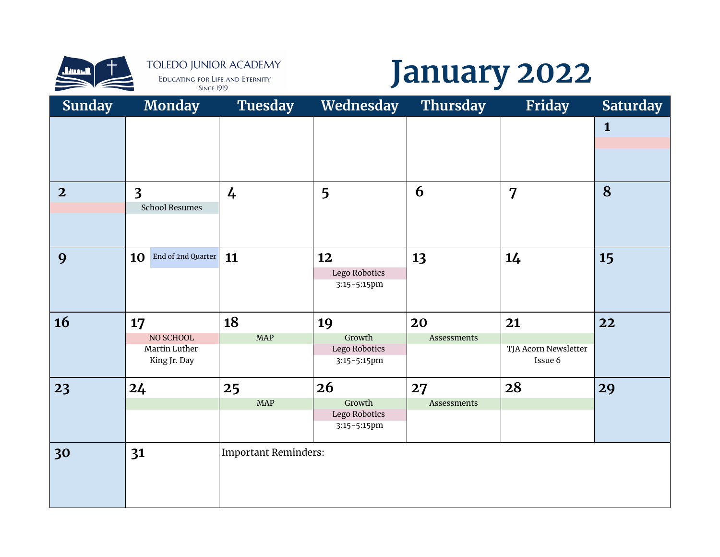

EDUCATING FOR LIFE AND ETERNITY **SINCE 1919** 

# **January 2022**

| <b>Sunday</b>  | <b>Monday</b>                                    | Tuesday                     | Wednesday               | Thursday          | Friday                      | <b>Saturday</b> |
|----------------|--------------------------------------------------|-----------------------------|-------------------------|-------------------|-----------------------------|-----------------|
|                |                                                  |                             |                         |                   |                             | $\mathbf{1}$    |
|                |                                                  |                             |                         |                   |                             |                 |
| $\overline{2}$ | $\overline{\mathbf{3}}$<br><b>School Resumes</b> | 4                           | 5                       | 6                 | $\overline{7}$              | 8               |
|                |                                                  |                             |                         |                   |                             |                 |
| 9              | End of 2nd Quarter<br>10                         | 11                          | 12<br>Lego Robotics     | 13                | 14                          | 15              |
|                |                                                  |                             | 3:15-5:15pm             |                   |                             |                 |
|                |                                                  |                             |                         |                   |                             |                 |
| 16             | 17<br>NO SCHOOL                                  | 18<br><b>MAP</b>            | 19<br>Growth            | 20<br>Assessments | 21                          | 22              |
|                | <b>Martin Luther</b>                             |                             | Lego Robotics           |                   | <b>TJA Acorn Newsletter</b> |                 |
|                | King Jr. Day                                     |                             | 3:15-5:15pm             |                   | Issue 6                     |                 |
| 23             | 24                                               | 25                          | 26                      | 27                | 28                          | 29              |
|                |                                                  | <b>MAP</b>                  | Growth<br>Lego Robotics | Assessments       |                             |                 |
|                |                                                  |                             | 3:15-5:15pm             |                   |                             |                 |
|                |                                                  |                             |                         |                   |                             |                 |
| 30             | 31                                               | <b>Important Reminders:</b> |                         |                   |                             |                 |
|                |                                                  |                             |                         |                   |                             |                 |
|                |                                                  |                             |                         |                   |                             |                 |
|                |                                                  |                             |                         |                   |                             |                 |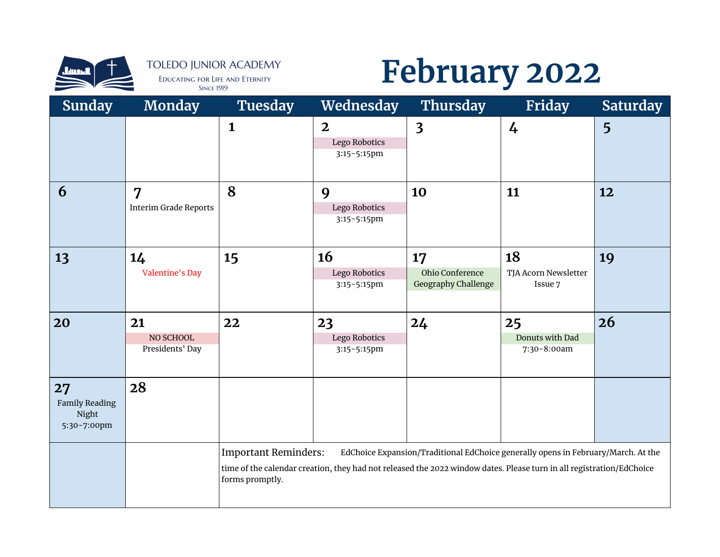

TOLEDO JUNIOR ACADEMY EDUCATING FOR LIFE AND ETERNITY

**SINCE 1919** 

# **February 2022**

| <b>Sunday</b>                                       | <b>Monday</b>                      | <b>Tuesday</b>                                                                                                                                                                                                                                              | Wednesday                                      | Thursday                                            | Friday                                | <b>Saturday</b> |  |
|-----------------------------------------------------|------------------------------------|-------------------------------------------------------------------------------------------------------------------------------------------------------------------------------------------------------------------------------------------------------------|------------------------------------------------|-----------------------------------------------------|---------------------------------------|-----------------|--|
|                                                     |                                    | $\mathbf{1}$                                                                                                                                                                                                                                                | $\overline{2}$<br>Lego Robotics<br>3:15-5:15pm | $\overline{\mathbf{3}}$                             | $\frac{1}{4}$                         | 5               |  |
| 6                                                   | 7<br><b>Interim Grade Reports</b>  | 8                                                                                                                                                                                                                                                           | 9<br>Lego Robotics<br>3:15-5:15pm              | 10                                                  | 11                                    | 12              |  |
| 13                                                  | 14<br>Valentine's Day              | 15                                                                                                                                                                                                                                                          | 16<br>Lego Robotics<br>3:15-5:15pm             | 17<br><b>Ohio Conference</b><br>Geography Challenge | 18<br>TJA Acorn Newsletter<br>Issue 7 | 19              |  |
| 20                                                  | 21<br>NO SCHOOL<br>Presidents' Day | 22                                                                                                                                                                                                                                                          | 23<br>Lego Robotics<br>3:15-5:15pm             | 24                                                  | 25<br>Donuts with Dad<br>7:30-8:00am  | 26              |  |
| 27<br><b>Family Reading</b><br>Night<br>5:30-7:00pm | 28                                 |                                                                                                                                                                                                                                                             |                                                |                                                     |                                       |                 |  |
|                                                     |                                    | <b>Important Reminders:</b><br>EdChoice Expansion/Traditional EdChoice generally opens in February/March. At the<br>time of the calendar creation, they had not released the 2022 window dates. Please turn in all registration/EdChoice<br>forms promptly. |                                                |                                                     |                                       |                 |  |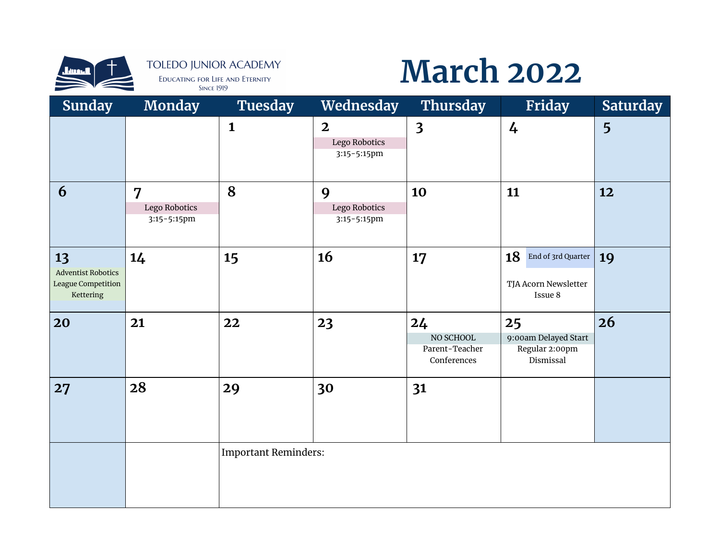

**March 2022**

EDUCATING FOR LIFE AND ETERNITY **SINCE 1919** 

TOLEDO JUNIOR ACADEMY

| <b>Sunday</b>                                                      | <b>Monday</b>                                  | Tuesday                     | Wednesday                                      | <b>Thursday</b>                                  | Friday                                                      | <b>Saturday</b> |
|--------------------------------------------------------------------|------------------------------------------------|-----------------------------|------------------------------------------------|--------------------------------------------------|-------------------------------------------------------------|-----------------|
|                                                                    |                                                | $\mathbf{1}$                | $\overline{2}$<br>Lego Robotics<br>3:15-5:15pm | $\overline{\mathbf{3}}$                          | $\frac{1}{4}$                                               | 5               |
| 6                                                                  | $\overline{7}$<br>Lego Robotics<br>3:15-5:15pm | 8                           | 9<br>Lego Robotics<br>3:15-5:15pm              | 10                                               | 11                                                          | 12              |
| 13<br><b>Adventist Robotics</b><br>League Competition<br>Kettering | 14                                             | 15                          | 16                                             | 17                                               | 18<br>End of 3rd Quarter<br>TJA Acorn Newsletter<br>Issue 8 | 19              |
| 20                                                                 | 21                                             | 22                          | 23                                             | 24<br>NO SCHOOL<br>Parent-Teacher<br>Conferences | 25<br>9:00am Delayed Start<br>Regular 2:00pm<br>Dismissal   | 26              |
| 27                                                                 | 28                                             | 29                          | 30                                             | 31                                               |                                                             |                 |
|                                                                    |                                                | <b>Important Reminders:</b> |                                                |                                                  |                                                             |                 |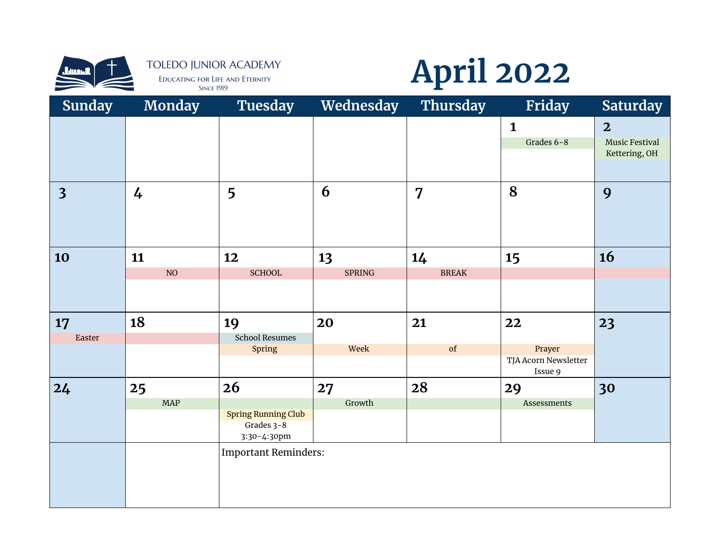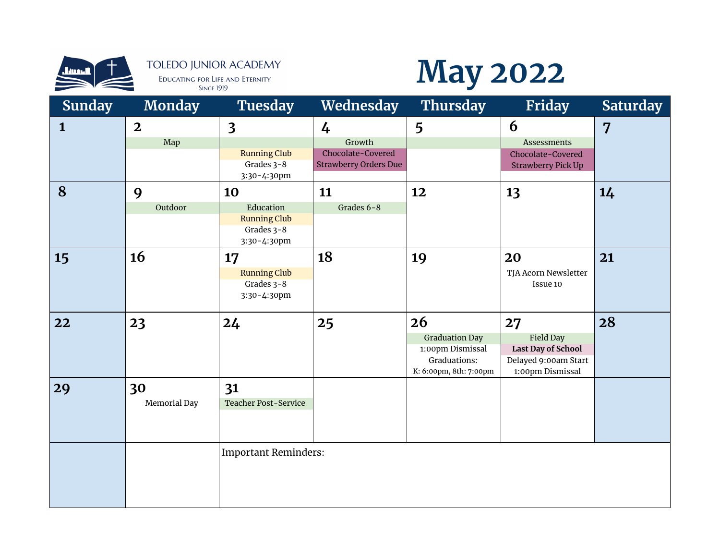

EDUCATING FOR LIFE AND ETERNITY **SINCE 1919** 

# **May 2022**

| <b>Sunday</b> | <b>Monday</b>             | <b>Tuesday</b>                                                              | Wednesday                                                        | Thursday                                                                                  | Friday                                                                                   | <b>Saturday</b> |
|---------------|---------------------------|-----------------------------------------------------------------------------|------------------------------------------------------------------|-------------------------------------------------------------------------------------------|------------------------------------------------------------------------------------------|-----------------|
| $\mathbf{1}$  | $\overline{2}$<br>Map     | $\overline{\mathbf{3}}$<br><b>Running Club</b><br>Grades 3-8<br>3:30-4:30pm | 4<br>Growth<br>Chocolate-Covered<br><b>Strawberry Orders Due</b> | 5                                                                                         | 6<br>Assessments<br>Chocolate-Covered<br><b>Strawberry Pick Up</b>                       | 7               |
| 8             | 9<br>Outdoor              | 10<br>Education<br><b>Running Club</b><br>Grades 3-8<br>3:30-4:30pm         | 11<br>Grades 6-8                                                 | 12                                                                                        | 13                                                                                       | 14              |
| 15            | <b>16</b>                 | 17<br><b>Running Club</b><br>Grades 3-8<br>3:30-4:30pm                      | 18                                                               | 19                                                                                        | 20<br>TJA Acorn Newsletter<br>Issue 10                                                   | 21              |
| 22            | 23                        | 24                                                                          | 25                                                               | 26<br><b>Graduation Day</b><br>1:00pm Dismissal<br>Graduations:<br>K: 6:00pm, 8th: 7:00pm | 27<br><b>Field Day</b><br>Last Day of School<br>Delayed 9:00am Start<br>1:00pm Dismissal | 28              |
| 29            | 30<br><b>Memorial Day</b> | 31<br><b>Teacher Post-Service</b>                                           |                                                                  |                                                                                           |                                                                                          |                 |
|               |                           | <b>Important Reminders:</b>                                                 |                                                                  |                                                                                           |                                                                                          |                 |